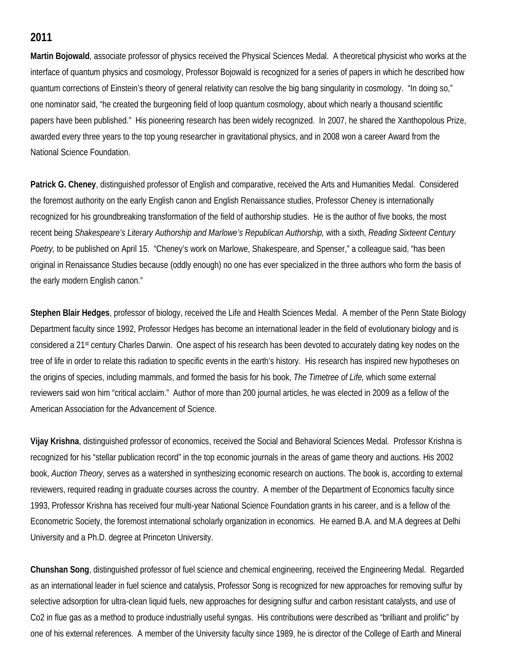## **2011**

**Martin Bojowald**, associate professor of physics received the Physical Sciences Medal. A theoretical physicist who works at the interface of quantum physics and cosmology, Professor Bojowald is recognized for a series of papers in which he described how quantum corrections of Einstein's theory of general relativity can resolve the big bang singularity in cosmology. "In doing so," one nominator said, "he created the burgeoning field of loop quantum cosmology, about which nearly a thousand scientific papers have been published." His pioneering research has been widely recognized. In 2007, he shared the Xanthopolous Prize, awarded every three years to the top young researcher in gravitational physics, and in 2008 won a career Award from the National Science Foundation.

**Patrick G. Cheney**, distinguished professor of English and comparative, received the Arts and Humanities Medal. Considered the foremost authority on the early English canon and English Renaissance studies, Professor Cheney is internationally recognized for his groundbreaking transformation of the field of authorship studies. He is the author of five books, the most recent being *Shakespeare's Literary Authorship and Marlowe's Republican Authorship,* with a sixth, *Reading Sixteent Century Poetry,* to be published on April 15. "Cheney's work on Marlowe, Shakespeare, and Spenser," a colleague said, "has been original in Renaissance Studies because (oddly enough) no one has ever specialized in the three authors who form the basis of the early modern English canon."

**Stephen Blair Hedges**, professor of biology, received the Life and Health Sciences Medal. A member of the Penn State Biology Department faculty since 1992, Professor Hedges has become an international leader in the field of evolutionary biology and is considered a 21st century Charles Darwin. One aspect of his research has been devoted to accurately dating key nodes on the tree of life in order to relate this radiation to specific events in the earth's history. His research has inspired new hypotheses on the origins of species, including mammals, and formed the basis for his book, *The Timetree of Life,* which some external reviewers said won him "critical acclaim." Author of more than 200 journal articles, he was elected in 2009 as a fellow of the American Association for the Advancement of Science.

**Vijay Krishna**, distinguished professor of economics, received the Social and Behavioral Sciences Medal. Professor Krishna is recognized for his "stellar publication record" in the top economic journals in the areas of game theory and auctions. His 2002 book, *Auction Theory,* serves as a watershed in synthesizing economic research on auctions. The book is, according to external reviewers, required reading in graduate courses across the country. A member of the Department of Economics faculty since 1993, Professor Krishna has received four multi-year National Science Foundation grants in his career, and is a fellow of the Econometric Society, the foremost international scholarly organization in economics. He earned B.A. and M.A degrees at Delhi University and a Ph.D. degree at Princeton University.

**Chunshan Song**, distinguished professor of fuel science and chemical engineering, received the Engineering Medal. Regarded as an international leader in fuel science and catalysis, Professor Song is recognized for new approaches for removing sulfur by selective adsorption for ultra-clean liquid fuels, new approaches for designing sulfur and carbon resistant catalysts, and use of Co2 in flue gas as a method to produce industrially useful syngas. His contributions were described as "brilliant and prolific" by one of his external references. A member of the University faculty since 1989, he is director of the College of Earth and Mineral